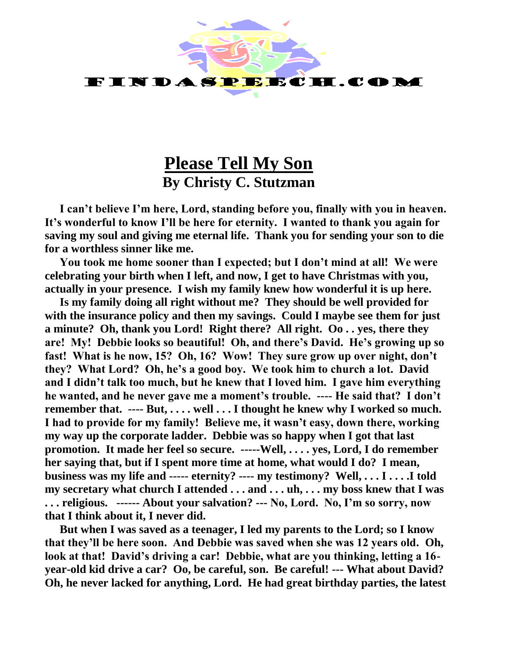

## **Please Tell My Son By Christy C. Stutzman**

**I can't believe I'm here, Lord, standing before you, finally with you in heaven. It's wonderful to know I'll be here for eternity. I wanted to thank you again for saving my soul and giving me eternal life. Thank you for sending your son to die for a worthless sinner like me.**

**You took me home sooner than I expected; but I don't mind at all! We were celebrating your birth when I left, and now, I get to have Christmas with you, actually in your presence. I wish my family knew how wonderful it is up here.**

**Is my family doing all right without me? They should be well provided for with the insurance policy and then my savings. Could I maybe see them for just a minute? Oh, thank you Lord! Right there? All right. Oo . . yes, there they are! My! Debbie looks so beautiful! Oh, and there's David. He's growing up so fast! What is he now, 15? Oh, 16? Wow! They sure grow up over night, don't they? What Lord? Oh, he's a good boy. We took him to church a lot. David and I didn't talk too much, but he knew that I loved him. I gave him everything he wanted, and he never gave me a moment's trouble. ---- He said that? I don't remember that. ---- But, . . . . well . . . I thought he knew why I worked so much. I had to provide for my family! Believe me, it wasn't easy, down there, working my way up the corporate ladder. Debbie was so happy when I got that last promotion. It made her feel so secure. -----Well, . . . . yes, Lord, I do remember her saying that, but if I spent more time at home, what would I do? I mean, business was my life and ----- eternity? ---- my testimony? Well, . . . I . . . .I told my secretary what church I attended . . . and . . . uh, . . . my boss knew that I was . . . religious. ------ About your salvation? --- No, Lord. No, I'm so sorry, now that I think about it, I never did.**

**But when I was saved as a teenager, I led my parents to the Lord; so I know that they'll be here soon. And Debbie was saved when she was 12 years old. Oh, look at that! David's driving a car! Debbie, what are you thinking, letting a 16 year-old kid drive a car? Oo, be careful, son. Be careful! --- What about David? Oh, he never lacked for anything, Lord. He had great birthday parties, the latest**